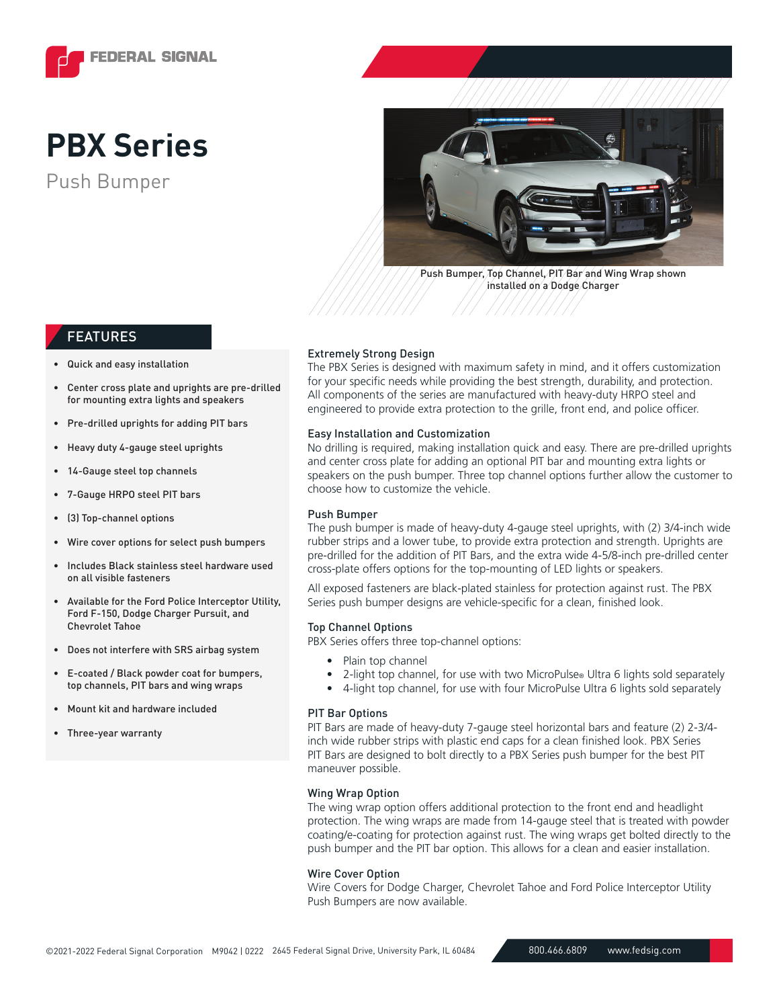

# **PBX Series**





Push Bumper, Top Channel, PIT Bar and Wing Wrap shown installed on a Dodge Charger

### FEATURES

- Quick and easy installation
- Center cross plate and uprights are pre-drilled for mounting extra lights and speakers
- Pre-drilled uprights for adding PIT bars
- Heavy duty 4-gauge steel uprights
- 14-Gauge steel top channels
- 7-Gauge HRPO steel PIT bars
- (3) Top-channel options
- Wire cover options for select push bumpers
- Includes Black stainless steel hardware used on all visible fasteners
- Available for the Ford Police Interceptor Utility, Ford F-150, Dodge Charger Pursuit, and Chevrolet Tahoe
- Does not interfere with SRS airbag system
- E-coated / Black powder coat for bumpers, top channels, PIT bars and wing wraps
- Mount kit and hardware included
- Three-year warranty

#### Extremely Strong Design

The PBX Series is designed with maximum safety in mind, and it offers customization for your specific needs while providing the best strength, durability, and protection. All components of the series are manufactured with heavy-duty HRPO steel and engineered to provide extra protection to the grille, front end, and police officer.

#### Easy Installation and Customization

No drilling is required, making installation quick and easy. There are pre-drilled uprights and center cross plate for adding an optional PIT bar and mounting extra lights or speakers on the push bumper. Three top channel options further allow the customer to choose how to customize the vehicle.

#### Push Bumper

The push bumper is made of heavy-duty 4-gauge steel uprights, with (2) 3/4-inch wide rubber strips and a lower tube, to provide extra protection and strength. Uprights are pre-drilled for the addition of PIT Bars, and the extra wide 4-5/8-inch pre-drilled center cross-plate offers options for the top-mounting of LED lights or speakers.

All exposed fasteners are black-plated stainless for protection against rust. The PBX Series push bumper designs are vehicle-specific for a clean, finished look.

#### Top Channel Options

PBX Series offers three top-channel options:

- Plain top channel
- 2-light top channel, for use with two MicroPulse® Ultra 6 lights sold separately
- 4-light top channel, for use with four MicroPulse Ultra 6 lights sold separately

#### PIT Bar Options

PIT Bars are made of heavy-duty 7-gauge steel horizontal bars and feature (2) 2-3/4 inch wide rubber strips with plastic end caps for a clean finished look. PBX Series PIT Bars are designed to bolt directly to a PBX Series push bumper for the best PIT maneuver possible.

#### Wing Wrap Option

The wing wrap option offers additional protection to the front end and headlight protection. The wing wraps are made from 14-gauge steel that is treated with powder coating/e-coating for protection against rust. The wing wraps get bolted directly to the push bumper and the PIT bar option. This allows for a clean and easier installation.

#### Wire Cover Option

Wire Covers for Dodge Charger, Chevrolet Tahoe and Ford Police Interceptor Utility Push Bumpers are now available.